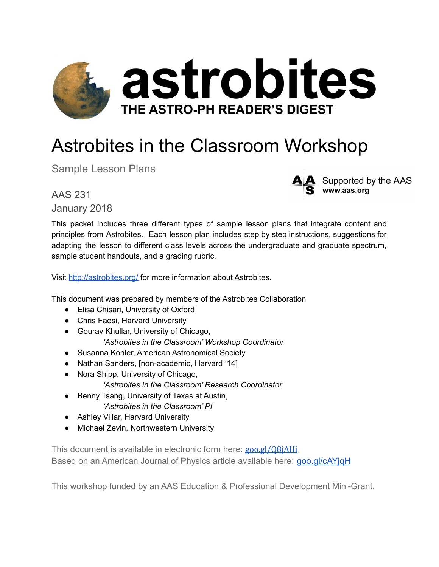

# Astrobites in the Classroom Workshop

Sample Lesson Plans

AAS 231 January 2018

This packet includes three different types of sample lesson plans that integrate content and principles from Astrobites. Each lesson plan includes step by step instructions, suggestions for adapting the lesson to different class levels across the undergraduate and graduate spectrum, sample student handouts, and a grading rubric.

Supported by the AAS

www.aas.org

Visit <http://astrobites.org/> for more information about Astrobites.

This document was prepared by members of the Astrobites Collaboration

- Elisa Chisari, University of Oxford
- Chris Faesi, Harvard University
- Gourav Khullar, University of Chicago,

*'Astrobites in the Classroom' Workshop Coordinator*

- Susanna Kohler, American Astronomical Society
- Nathan Sanders, [non-academic, Harvard '14]
- Nora Shipp, University of Chicago,
	- *'Astrobites in the Classroom' Research Coordinator*
- Benny Tsang, University of Texas at Austin, *'Astrobites in the Classroom' PI*
- Ashley Villar, Harvard University
- Michael Zevin, Northwestern University

This document is available in electronic form here: goo.gl/08jAHi Based on an American Journal of Physics article available here: [goo.gl/cAYjqH](https://goo.gl/cAYjqH)

This workshop funded by an AAS Education & Professional Development Mini-Grant.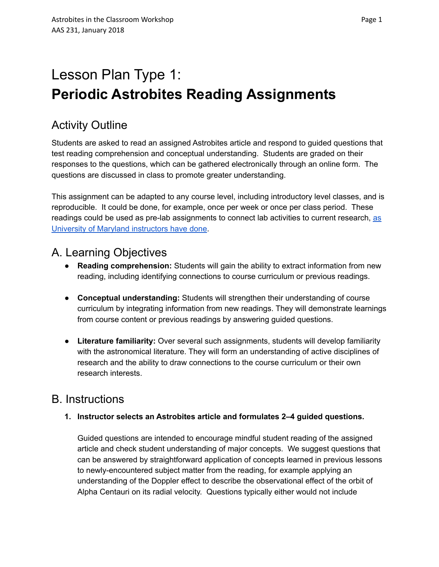# Lesson Plan Type 1: **Periodic Astrobites Reading Assignments**

# Activity Outline

Students are asked to read an assigned Astrobites article and respond to guided questions that test reading comprehension and conceptual understanding. Students are graded on their responses to the questions, which can be gathered electronically through an online form. The questions are discussed in class to promote greater understanding.

This assignment can be adapted to any course level, including introductory level classes, and is reproducible. It could be done, for example, once per week or once per class period. These readings could be used as pre-lab assignments to connect lab activities to current research, [as](http://ter.ps/astr121lab) University of Maryland [instructors](http://ter.ps/astr121lab) have done.

# A. Learning Objectives

- **Reading comprehension:** Students will gain the ability to extract information from new reading, including identifying connections to course curriculum or previous readings.
- **Conceptual understanding:** Students will strengthen their understanding of course curriculum by integrating information from new readings. They will demonstrate learnings from course content or previous readings by answering guided questions.
- **Literature familiarity:** Over several such assignments, students will develop familiarity with the astronomical literature. They will form an understanding of active disciplines of research and the ability to draw connections to the course curriculum or their own research interests.

## B. Instructions

### **1. Instructor selects an Astrobites article and formulates 2–4 guided questions.**

Guided questions are intended to encourage mindful student reading of the assigned article and check student understanding of major concepts. We suggest questions that can be answered by straightforward application of concepts learned in previous lessons to newly-encountered subject matter from the reading, for example applying an understanding of the Doppler effect to describe the observational effect of the orbit of Alpha Centauri on its radial velocity. Questions typically either would not include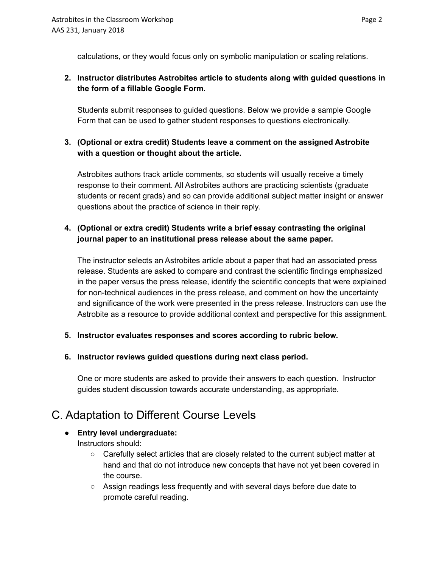calculations, or they would focus only on symbolic manipulation or scaling relations.

#### **2. Instructor distributes Astrobites article to students along with guided questions in the form of a fillable Google Form.**

Students submit responses to guided questions. Below we provide a sample Google Form that can be used to gather student responses to questions electronically.

### **3. (Optional or extra credit) Students leave a comment on the assigned Astrobite with a question or thought about the article.**

Astrobites authors track article comments, so students will usually receive a timely response to their comment. All Astrobites authors are practicing scientists (graduate students or recent grads) and so can provide additional subject matter insight or answer questions about the practice of science in their reply.

#### **4. (Optional or extra credit) Students write a brief essay contrasting the original journal paper to an institutional press release about the same paper.**

The instructor selects an Astrobites article about a paper that had an associated press release. Students are asked to compare and contrast the scientific findings emphasized in the paper versus the press release, identify the scientific concepts that were explained for non-technical audiences in the press release, and comment on how the uncertainty and significance of the work were presented in the press release. Instructors can use the Astrobite as a resource to provide additional context and perspective for this assignment.

### **5. Instructor evaluates responses and scores according to rubric below.**

### **6. Instructor reviews guided questions during next class period.**

One or more students are asked to provide their answers to each question. Instructor guides student discussion towards accurate understanding, as appropriate.

## C. Adaptation to Different Course Levels

### **● Entry level undergraduate:**

Instructors should:

- Carefully select articles that are closely related to the current subject matter at hand and that do not introduce new concepts that have not yet been covered in the course.
- Assign readings less frequently and with several days before due date to promote careful reading.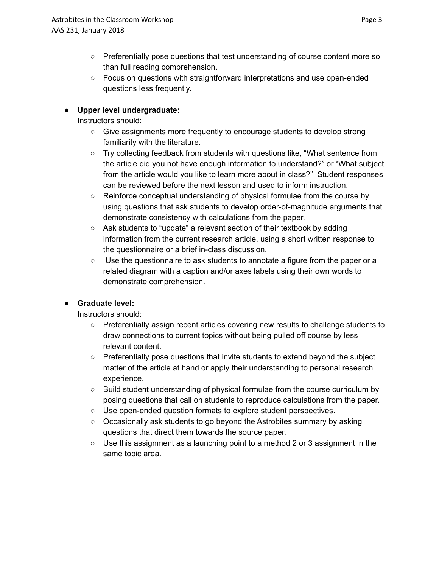- Preferentially pose questions that test understanding of course content more so than full reading comprehension.
- Focus on questions with straightforward interpretations and use open-ended questions less frequently.

#### **● Upper level undergraduate:**

Instructors should:

- Give assignments more frequently to encourage students to develop strong familiarity with the literature.
- Try collecting feedback from students with questions like, "What sentence from the article did you not have enough information to understand?" or "What subject from the article would you like to learn more about in class?" Student responses can be reviewed before the next lesson and used to inform instruction.
- Reinforce conceptual understanding of physical formulae from the course by using questions that ask students to develop order-of-magnitude arguments that demonstrate consistency with calculations from the paper.
- Ask students to "update" a relevant section of their textbook by adding information from the current research article, using a short written response to the questionnaire or a brief in-class discussion.
- Use the questionnaire to ask students to annotate a figure from the paper or a related diagram with a caption and/or axes labels using their own words to demonstrate comprehension.

### **● Graduate level:**

Instructors should:

- Preferentially assign recent articles covering new results to challenge students to draw connections to current topics without being pulled off course by less relevant content.
- Preferentially pose questions that invite students to extend beyond the subject matter of the article at hand or apply their understanding to personal research experience.
- Build student understanding of physical formulae from the course curriculum by posing questions that call on students to reproduce calculations from the paper.
- Use open-ended question formats to explore student perspectives.
- Occasionally ask students to go beyond the Astrobites summary by asking questions that direct them towards the source paper.
- Use this assignment as a launching point to a method 2 or 3 assignment in the same topic area.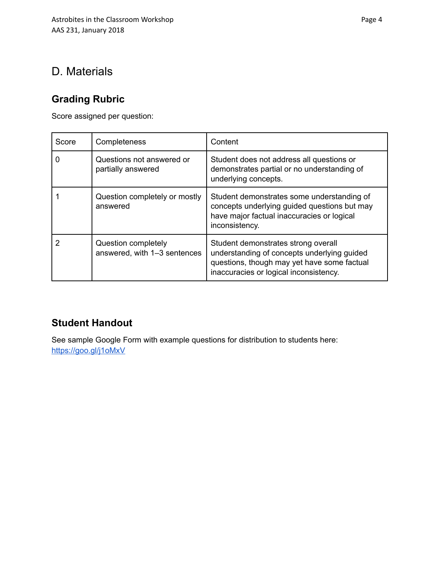## D. Materials

### **Grading Rubric**

Score assigned per question:

| Score    | Completeness                                        | Content                                                                                                                                                                     |
|----------|-----------------------------------------------------|-----------------------------------------------------------------------------------------------------------------------------------------------------------------------------|
| $\Omega$ | Questions not answered or<br>partially answered     | Student does not address all questions or<br>demonstrates partial or no understanding of<br>underlying concepts.                                                            |
|          | Question completely or mostly<br>answered           | Student demonstrates some understanding of<br>concepts underlying guided questions but may<br>have major factual inaccuracies or logical<br>inconsistency.                  |
| 2        | Question completely<br>answered, with 1-3 sentences | Student demonstrates strong overall<br>understanding of concepts underlying guided<br>questions, though may yet have some factual<br>inaccuracies or logical inconsistency. |

### **Student Handout**

See sample Google Form with example questions for distribution to students here: <https://goo.gl/j1oMxV>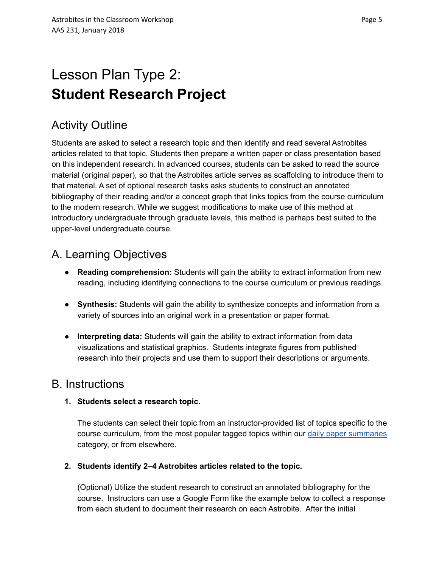# Lesson Plan Type 2: **Student Research Project**

# Activity Outline

Students are asked to select a research topic and then identify and read several Astrobites articles related to that topic. Students then prepare a written paper or class presentation based on this independent research. In advanced courses, students can be asked to read the source material (original paper), so that the Astrobites article serves as scaffolding to introduce them to that material. A set of optional research tasks asks students to construct an annotated bibliography of their reading and/or a concept graph that links topics from the course curriculum to the modern research. While we suggest modifications to make use of this method at introductory undergraduate through graduate levels, this method is perhaps best suited to the upper-level undergraduate course.

# A. Learning Objectives

- **Reading comprehension:** Students will gain the ability to extract information from new reading, including identifying connections to the course curriculum or previous readings.
- **Synthesis:** Students will gain the ability to synthesize concepts and information from a variety of sources into an original work in a presentation or paper format.
- **Interpreting data:** Students will gain the ability to extract information from data visualizations and statistical graphics. Students integrate figures from published research into their projects and use them to support their descriptions or arguments.

### B. Instructions

### **1. Students select a research topic.**

The students can select their topic from an instructor-provided list of topics specific to the course curriculum, from the most popular tagged topics within our daily paper [summaries](https://astrobites.org/category/daily-paper-summaries/) category, or from elsewhere.

### **2. Students identify 2–4 Astrobites articles related to the topic.**

(Optional) Utilize the student research to construct an annotated bibliography for the course. Instructors can use a Google Form like the example below to collect a response from each student to document their research on each Astrobite. After the initial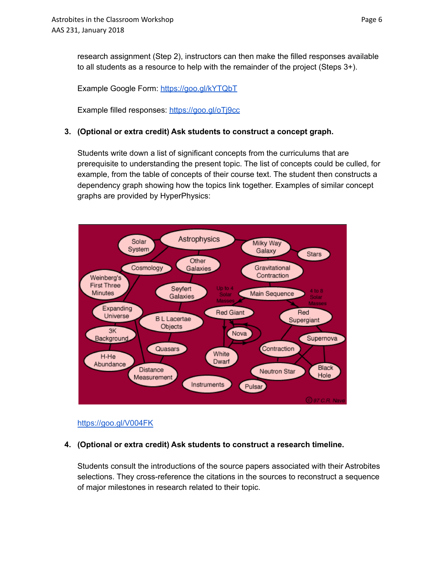research assignment (Step 2), instructors can then make the filled responses available to all students as a resource to help with the remainder of the project (Steps 3+).

Example Google Form: <https://goo.gl/kYTQbT>

Example filled responses: <https://goo.gl/oTj9cc>

#### **3. (Optional or extra credit) Ask students to construct a concept graph.**

Students write down a list of significant concepts from the curriculums that are prerequisite to understanding the present topic. The list of concepts could be culled, for example, from the table of concepts of their course text. The student then constructs a dependency graph showing how the topics link together. Examples of similar concept graphs are provided by HyperPhysics:



#### <https://goo.gl/V004FK>

### **4. (Optional or extra credit) Ask students to construct a research timeline.**

Students consult the introductions of the source papers associated with their Astrobites selections. They cross-reference the citations in the sources to reconstruct a sequence of major milestones in research related to their topic.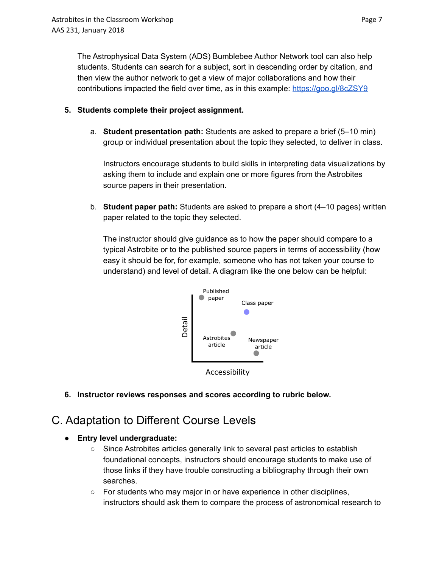The Astrophysical Data System (ADS) Bumblebee Author Network tool can also help students. Students can search for a subject, sort in descending order by citation, and then view the author network to get a view of major collaborations and how their contributions impacted the field over time, as in this example: <https://goo.gl/8cZSY9>

- **5. Students complete their project assignment.**
	- a. **Student presentation path:** Students are asked to prepare a brief (5–10 min) group or individual presentation about the topic they selected, to deliver in class.

Instructors encourage students to build skills in interpreting data visualizations by asking them to include and explain one or more figures from the Astrobites source papers in their presentation.

b. **Student paper path:** Students are asked to prepare a short (4–10 pages) written paper related to the topic they selected.

The instructor should give guidance as to how the paper should compare to a typical Astrobite or to the published source papers in terms of accessibility (how easy it should be for, for example, someone who has not taken your course to understand) and level of detail. A diagram like the one below can be helpful:



Accessibility

**6. Instructor reviews responses and scores according to rubric below.**

## C. Adaptation to Different Course Levels

- **● Entry level undergraduate:**
	- Since Astrobites articles generally link to several past articles to establish foundational concepts, instructors should encourage students to make use of those links if they have trouble constructing a bibliography through their own searches.
	- For students who may major in or have experience in other disciplines, instructors should ask them to compare the process of astronomical research to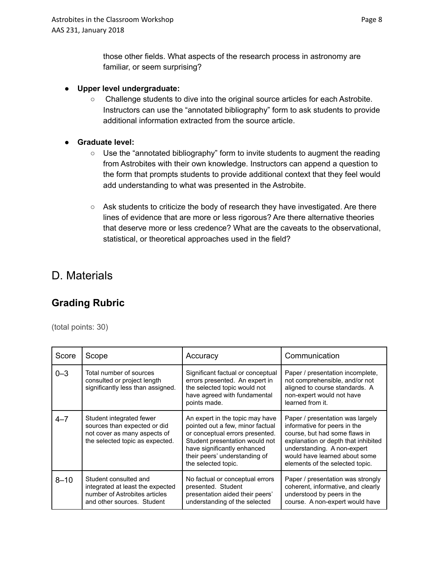those other fields. What aspects of the research process in astronomy are familiar, or seem surprising?

#### **● Upper level undergraduate:**

○ Challenge students to dive into the original source articles for each Astrobite. Instructors can use the "annotated bibliography" form to ask students to provide additional information extracted from the source article.

#### **● Graduate level:**

- Use the "annotated bibliography" form to invite students to augment the reading from Astrobites with their own knowledge. Instructors can append a question to the form that prompts students to provide additional context that they feel would add understanding to what was presented in the Astrobite.
- Ask students to criticize the body of research they have investigated. Are there lines of evidence that are more or less rigorous? Are there alternative theories that deserve more or less credence? What are the caveats to the observational, statistical, or theoretical approaches used in the field?

### D. Materials

### **Grading Rubric**

(total points: 30)

| Score    | Scope                                                                                                                       | Accuracy                                                                                                                                                                                                                        | Communication                                                                                                                                                                                                                               |
|----------|-----------------------------------------------------------------------------------------------------------------------------|---------------------------------------------------------------------------------------------------------------------------------------------------------------------------------------------------------------------------------|---------------------------------------------------------------------------------------------------------------------------------------------------------------------------------------------------------------------------------------------|
| $0 - 3$  | Total number of sources<br>consulted or project length<br>significantly less than assigned.                                 | Significant factual or conceptual<br>errors presented. An expert in<br>the selected topic would not<br>have agreed with fundamental<br>points made.                                                                             | Paper / presentation incomplete,<br>not comprehensible, and/or not<br>aligned to course standards. A<br>non-expert would not have<br>learned from it.                                                                                       |
| $4 - 7$  | Student integrated fewer<br>sources than expected or did<br>not cover as many aspects of<br>the selected topic as expected. | An expert in the topic may have<br>pointed out a few, minor factual<br>or conceptual errors presented.<br>Student presentation would not<br>have significantly enhanced<br>their peers' understanding of<br>the selected topic. | Paper / presentation was largely<br>informative for peers in the<br>course, but had some flaws in<br>explanation or depth that inhibited<br>understanding. A non-expert<br>would have learned about some<br>elements of the selected topic. |
| $8 - 10$ | Student consulted and<br>integrated at least the expected<br>number of Astrobites articles<br>and other sources. Student    | No factual or conceptual errors<br>presented. Student<br>presentation aided their peers'<br>understanding of the selected                                                                                                       | Paper / presentation was strongly<br>coherent, informative, and clearly<br>understood by peers in the<br>course. A non-expert would have                                                                                                    |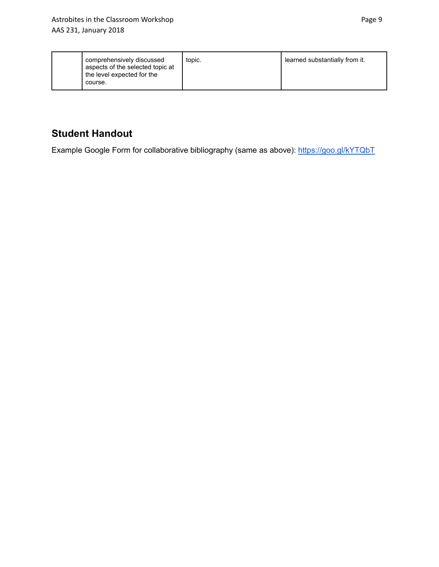| comprehensively discussed<br>aspects of the selected topic at<br>the level expected for the<br>course. | topic. | learned substantially from it. |
|--------------------------------------------------------------------------------------------------------|--------|--------------------------------|
|--------------------------------------------------------------------------------------------------------|--------|--------------------------------|

### **Student Handout**

Example Google Form for collaborative bibliography (same as above): <https://goo.gl/kYTQbT>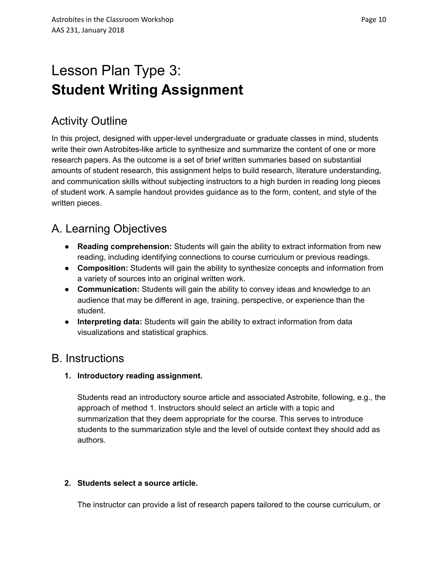# Lesson Plan Type 3: **Student Writing Assignment**

# Activity Outline

In this project, designed with upper-level undergraduate or graduate classes in mind, students write their own Astrobites-like article to synthesize and summarize the content of one or more research papers. As the outcome is a set of brief written summaries based on substantial amounts of student research, this assignment helps to build research, literature understanding, and communication skills without subjecting instructors to a high burden in reading long pieces of student work. A sample handout provides guidance as to the form, content, and style of the written pieces.

# A. Learning Objectives

- **Reading comprehension:** Students will gain the ability to extract information from new reading, including identifying connections to course curriculum or previous readings.
- **Composition:** Students will gain the ability to synthesize concepts and information from a variety of sources into an original written work.
- **Communication:** Students will gain the ability to convey ideas and knowledge to an audience that may be different in age, training, perspective, or experience than the student.
- **Interpreting data:** Students will gain the ability to extract information from data visualizations and statistical graphics.

### B. Instructions

### **1. Introductory reading assignment.**

Students read an introductory source article and associated Astrobite, following, e.g., the approach of method 1. Instructors should select an article with a topic and summarization that they deem appropriate for the course. This serves to introduce students to the summarization style and the level of outside context they should add as authors.

### **2. Students select a source article.**

The instructor can provide a list of research papers tailored to the course curriculum, or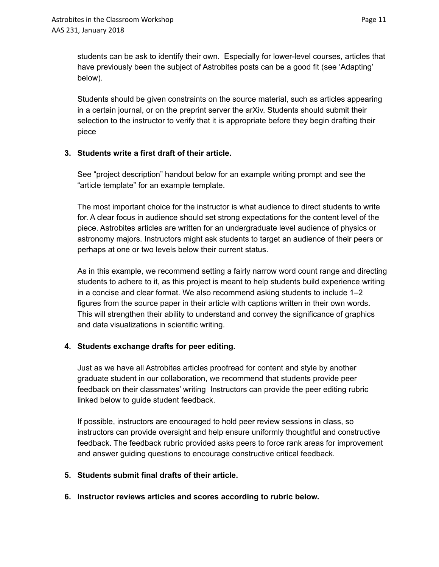students can be ask to identify their own. Especially for lower-level courses, articles that have previously been the subject of Astrobites posts can be a good fit (see 'Adapting' below).

Students should be given constraints on the source material, such as articles appearing in a certain journal, or on the preprint server the arXiv. Students should submit their selection to the instructor to verify that it is appropriate before they begin drafting their piece

#### **3. Students write a first draft of their article.**

See "project description" handout below for an example writing prompt and see the "article template" for an example template.

The most important choice for the instructor is what audience to direct students to write for. A clear focus in audience should set strong expectations for the content level of the piece. Astrobites articles are written for an undergraduate level audience of physics or astronomy majors. Instructors might ask students to target an audience of their peers or perhaps at one or two levels below their current status.

As in this example, we recommend setting a fairly narrow word count range and directing students to adhere to it, as this project is meant to help students build experience writing in a concise and clear format. We also recommend asking students to include 1–2 figures from the source paper in their article with captions written in their own words. This will strengthen their ability to understand and convey the significance of graphics and data visualizations in scientific writing.

#### **4. Students exchange drafts for peer editing.**

Just as we have all Astrobites articles proofread for content and style by another graduate student in our collaboration, we recommend that students provide peer feedback on their classmates' writing Instructors can provide the peer editing rubric linked below to guide student feedback.

If possible, instructors are encouraged to hold peer review sessions in class, so instructors can provide oversight and help ensure uniformly thoughtful and constructive feedback. The feedback rubric provided asks peers to force rank areas for improvement and answer guiding questions to encourage constructive critical feedback.

#### **5. Students submit final drafts of their article.**

**6. Instructor reviews articles and scores according to rubric below.**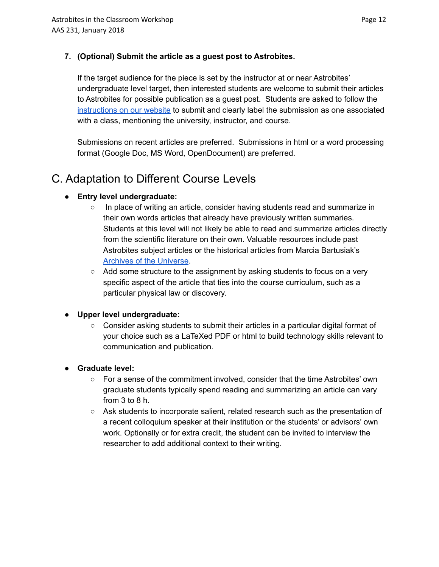#### **7. (Optional) Submit the article as a guest post to Astrobites.**

If the target audience for the piece is set by the instructor at or near Astrobites' undergraduate level target, then interested students are welcome to submit their articles to Astrobites for possible publication as a guest post. Students are asked to follow the [instructions](https://astrobites.org/apply-to-write-for-astrobites/submit-a-guest-post/) on our website to submit and clearly label the submission as one associated with a class, mentioning the university, instructor, and course.

Submissions on recent articles are preferred. Submissions in html or a word processing format (Google Doc, MS Word, OpenDocument) are preferred.

### C. Adaptation to Different Course Levels

#### **● Entry level undergraduate:**

- In place of writing an article, consider having students read and summarize in their own words articles that already have previously written summaries. Students at this level will not likely be able to read and summarize articles directly from the scientific literature on their own. Valuable resources include past Astrobites subject articles or the historical articles from Marcia Bartusiak's Archives of the [Universe](https://www.amazon.com/Archives-Universe-Discoveries-Transformed-Understanding/dp/0375713689).
- Add some structure to the assignment by asking students to focus on a very specific aspect of the article that ties into the course curriculum, such as a particular physical law or discovery.

#### **● Upper level undergraduate:**

○ Consider asking students to submit their articles in a particular digital format of your choice such as a LaTeXed PDF or html to build technology skills relevant to communication and publication.

#### **● Graduate level:**

- For a sense of the commitment involved, consider that the time Astrobites' own graduate students typically spend reading and summarizing an article can vary from 3 to 8 h.
- Ask students to incorporate salient, related research such as the presentation of a recent colloquium speaker at their institution or the students' or advisors' own work. Optionally or for extra credit, the student can be invited to interview the researcher to add additional context to their writing.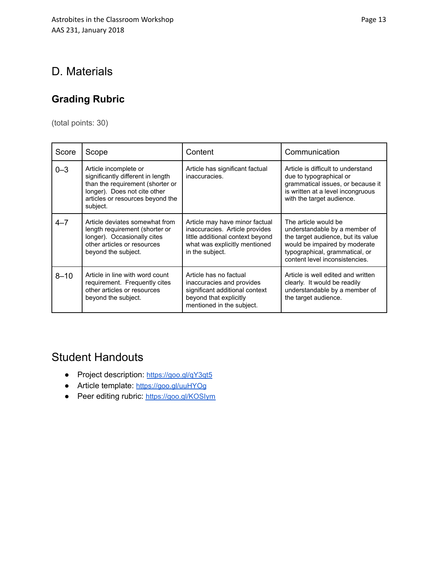## D. Materials

### **Grading Rubric**

(total points: 30)

| Score    | Scope                                                                                                                                                                          | Content                                                                                                                                                  | Communication                                                                                                                                                                                    |
|----------|--------------------------------------------------------------------------------------------------------------------------------------------------------------------------------|----------------------------------------------------------------------------------------------------------------------------------------------------------|--------------------------------------------------------------------------------------------------------------------------------------------------------------------------------------------------|
| $0 - 3$  | Article incomplete or<br>significantly different in length<br>than the requirement (shorter or<br>longer). Does not cite other<br>articles or resources beyond the<br>subject. | Article has significant factual<br>inaccuracies.                                                                                                         | Article is difficult to understand<br>due to typographical or<br>grammatical issues, or because it<br>is written at a level incongruous<br>with the target audience.                             |
| $4 - 7$  | Article deviates somewhat from<br>length requirement (shorter or<br>longer). Occasionally cites<br>other articles or resources<br>beyond the subject.                          | Article may have minor factual<br>inaccuracies. Article provides<br>little additional context beyond<br>what was explicitly mentioned<br>in the subject. | The article would be<br>understandable by a member of<br>the target audience, but its value<br>would be impaired by moderate<br>typographical, grammatical, or<br>content level inconsistencies. |
| $8 - 10$ | Article in line with word count<br>requirement. Frequently cites<br>other articles or resources<br>beyond the subject.                                                         | Article has no factual<br>inaccuracies and provides<br>significant additional context<br>beyond that explicitly<br>mentioned in the subject.             | Article is well edited and written<br>clearly. It would be readily<br>understandable by a member of<br>the target audience.                                                                      |

## Student Handouts

- Project description: <https://goo.gl/qY3qt5>
- Article template: <https://goo.gl/uuHYOg>
- Peer editing rubric: <https://goo.gl/KOSIym>